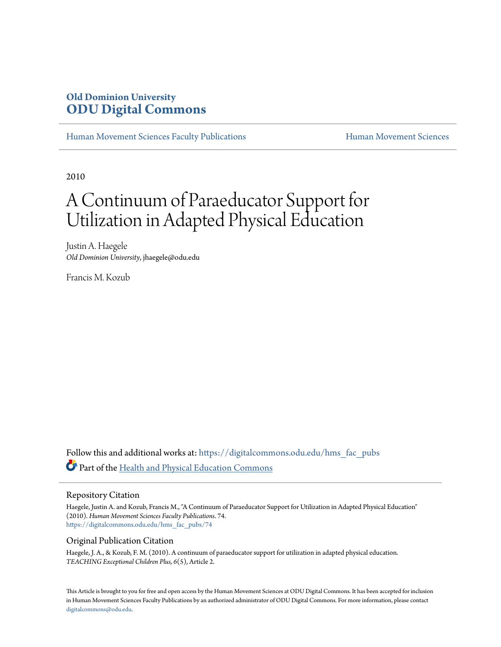### **Old Dominion University [ODU Digital Commons](https://digitalcommons.odu.edu?utm_source=digitalcommons.odu.edu%2Fhms_fac_pubs%2F74&utm_medium=PDF&utm_campaign=PDFCoverPages)**

[Human Movement Sciences Faculty Publications](https://digitalcommons.odu.edu/hms_fac_pubs?utm_source=digitalcommons.odu.edu%2Fhms_fac_pubs%2F74&utm_medium=PDF&utm_campaign=PDFCoverPages) **[Human Movement Sciences](https://digitalcommons.odu.edu/humanmovementsci?utm_source=digitalcommons.odu.edu%2Fhms_fac_pubs%2F74&utm_medium=PDF&utm_campaign=PDFCoverPages)** Human Movement Sciences

2010

## A Continuum of Paraeducator Support for Utilization in Adapted Physical Education

Justin A. Haegele *Old Dominion University*, jhaegele@odu.edu

Francis M. Kozub

Follow this and additional works at: [https://digitalcommons.odu.edu/hms\\_fac\\_pubs](https://digitalcommons.odu.edu/hms_fac_pubs?utm_source=digitalcommons.odu.edu%2Fhms_fac_pubs%2F74&utm_medium=PDF&utm_campaign=PDFCoverPages) Part of the [Health and Physical Education Commons](http://network.bepress.com/hgg/discipline/1327?utm_source=digitalcommons.odu.edu%2Fhms_fac_pubs%2F74&utm_medium=PDF&utm_campaign=PDFCoverPages)

#### Repository Citation

Haegele, Justin A. and Kozub, Francis M., "A Continuum of Paraeducator Support for Utilization in Adapted Physical Education" (2010). *Human Movement Sciences Faculty Publications*. 74. [https://digitalcommons.odu.edu/hms\\_fac\\_pubs/74](https://digitalcommons.odu.edu/hms_fac_pubs/74?utm_source=digitalcommons.odu.edu%2Fhms_fac_pubs%2F74&utm_medium=PDF&utm_campaign=PDFCoverPages)

#### Original Publication Citation

Haegele, J. A., & Kozub, F. M. (2010). A continuum of paraeducator support for utilization in adapted physical education. *TEACHING Exceptional Children Plus, 6*(5), Article 2.

This Article is brought to you for free and open access by the Human Movement Sciences at ODU Digital Commons. It has been accepted for inclusion in Human Movement Sciences Faculty Publications by an authorized administrator of ODU Digital Commons. For more information, please contact [digitalcommons@odu.edu.](mailto:digitalcommons@odu.edu)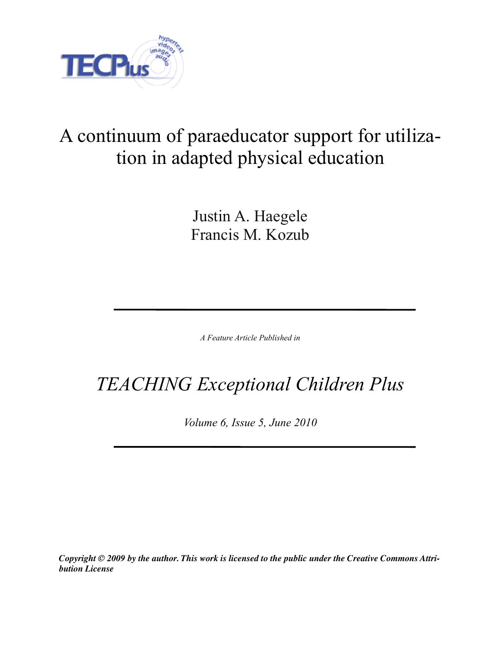

# A continuum of paraeducator support for utilization in adapted physical education

Justin A. Haegele Francis M. Kozub

*A Feature Article Published in*

# *TEACHING Exceptional Children Plus*

*Volume 6, Issue 5, June 2010*

*Copyright © 2009 by the author. This work is licensed to the public under the Creative Commons Attribution License*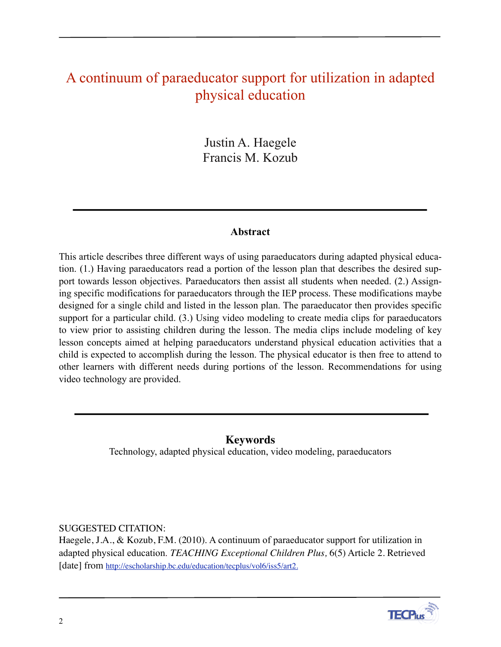### A continuum of paraeducator support for utilization in adapted physical education

Justin A. Haegele Francis M. Kozub

#### **Abstract**

This article describes three different ways of using paraeducators during adapted physical education. (1.) Having paraeducators read a portion of the lesson plan that describes the desired support towards lesson objectives. Paraeducators then assist all students when needed. (2.) Assigning specific modifications for paraeducators through the IEP process. These modifications maybe designed for a single child and listed in the lesson plan. The paraeducator then provides specific support for a particular child. (3.) Using video modeling to create media clips for paraeducators to view prior to assisting children during the lesson. The media clips include modeling of key lesson concepts aimed at helping paraeducators understand physical education activities that a child is expected to accomplish during the lesson. The physical educator is then free to attend to other learners with different needs during portions of the lesson. Recommendations for using video technology are provided.

#### **Keywords**

Technology, adapted physical education, video modeling, paraeducators

#### SUGGESTED CITATION:

Haegele, J.A., & Kozub, F.M. (2010). A continuum of paraeducator support for utilization in adapted physical education. *TEACHING Exceptional Children Plus,* 6(5) Article 2. Retrieved [date] from [http://escholarship.bc.edu/education/tecplus/vol6/iss5/art2.](http://escholarship.bc.edu/education/tecplus/vol6/iss2/art2)

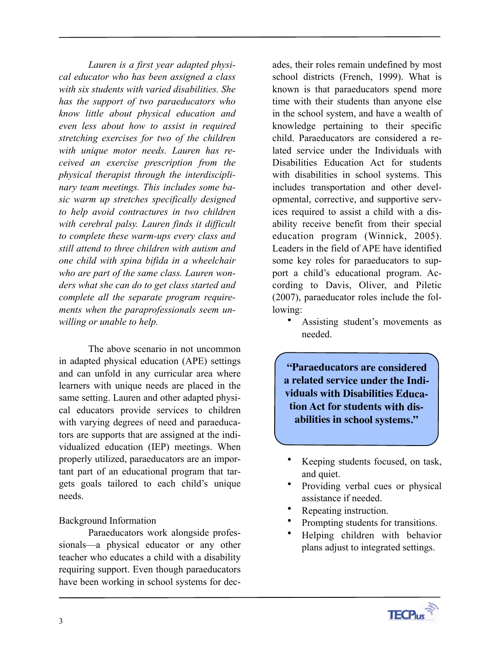*Lauren is a first year adapted physical educator who has been assigned a class with six students with varied disabilities. She has the support of two paraeducators who know little about physical education and even less about how to assist in required stretching exercises for two of the children with unique motor needs. Lauren has received an exercise prescription from the physical therapist through the interdisciplinary team meetings. This includes some basic warm up stretches specifically designed to help avoid contractures in two children with cerebral palsy. Lauren finds it difficult to complete these warm-ups every class and still attend to three children with autism and one child with spina bifida in a wheelchair who are part of the same class. Lauren wonders what she can do to get class started and complete all the separate program requirements when the paraprofessionals seem unwilling or unable to help.* 

The above scenario in not uncommon in adapted physical education (APE) settings and can unfold in any curricular area where learners with unique needs are placed in the same setting. Lauren and other adapted physical educators provide services to children with varying degrees of need and paraeducators are supports that are assigned at the individualized education (IEP) meetings. When properly utilized, paraeducators are an important part of an educational program that targets goals tailored to each child's unique needs.

#### Background Information

Paraeducators work alongside professionals—a physical educator or any other teacher who educates a child with a disability requiring support. Even though paraeducators have been working in school systems for dec-

ades, their roles remain undefined by most school districts (French, 1999). What is known is that paraeducators spend more time with their students than anyone else in the school system, and have a wealth of knowledge pertaining to their specific child. Paraeducators are considered a related service under the Individuals with Disabilities Education Act for students with disabilities in school systems. This includes transportation and other developmental, corrective, and supportive services required to assist a child with a disability receive benefit from their special education program (Winnick, 2005). Leaders in the field of APE have identified some key roles for paraeducators to support a child's educational program. According to Davis, Oliver, and Piletic (2007), paraeducator roles include the following:

Assisting student's movements as needed.

**"Paraeducators are considered a related service under the Individuals with Disabilities Education Act for students with disabilities in school systems."**

- Keeping students focused, on task, and quiet.
- Providing verbal cues or physical assistance if needed.
- Repeating instruction.
- Prompting students for transitions.
- Helping children with behavior plans adjust to integrated settings.

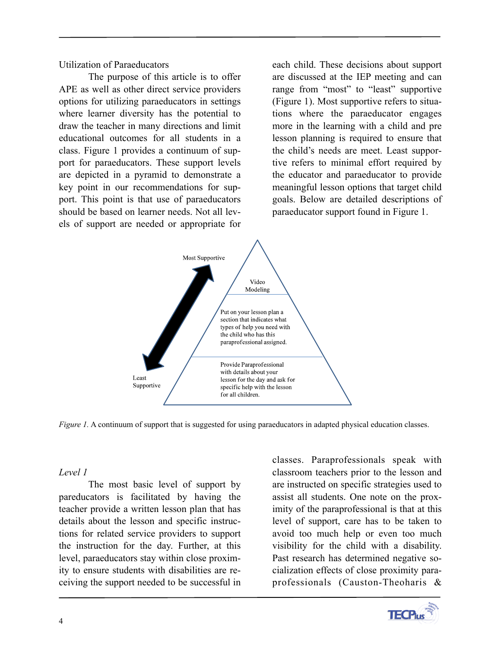Utilization of Paraeducators

The purpose of this article is to offer APE as well as other direct service providers options for utilizing paraeducators in settings where learner diversity has the potential to draw the teacher in many directions and limit educational outcomes for all students in a class. Figure 1 provides a continuum of support for paraeducators. These support levels are depicted in a pyramid to demonstrate a key point in our recommendations for support. This point is that use of paraeducators should be based on learner needs. Not all levels of support are needed or appropriate for each child. These decisions about support are discussed at the IEP meeting and can range from "most" to "least" supportive (Figure 1). Most supportive refers to situations where the paraeducator engages more in the learning with a child and pre lesson planning is required to ensure that the child's needs are meet. Least supportive refers to minimal effort required by the educator and paraeducator to provide meaningful lesson options that target child goals. Below are detailed descriptions of paraeducator support found in Figure 1.



*Figure 1.* A continuum of support that is suggested for using paraeducators in adapted physical education classes.

#### *Level 1*

The most basic level of support by pareducators is facilitated by having the teacher provide a written lesson plan that has details about the lesson and specific instructions for related service providers to support the instruction for the day. Further, at this level, paraeducators stay within close proximity to ensure students with disabilities are receiving the support needed to be successful in classes. Paraprofessionals speak with classroom teachers prior to the lesson and are instructed on specific strategies used to assist all students. One note on the proximity of the paraprofessional is that at this level of support, care has to be taken to avoid too much help or even too much visibility for the child with a disability. Past research has determined negative socialization effects of close proximity paraprofessionals (Causton-Theoharis &

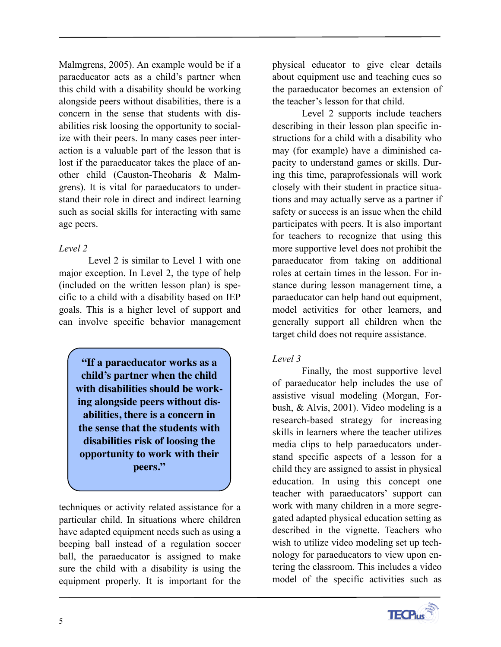Malmgrens, 2005). An example would be if a paraeducator acts as a child's partner when this child with a disability should be working alongside peers without disabilities, there is a concern in the sense that students with disabilities risk loosing the opportunity to socialize with their peers. In many cases peer interaction is a valuable part of the lesson that is lost if the paraeducator takes the place of another child (Causton-Theoharis & Malmgrens). It is vital for paraeducators to understand their role in direct and indirect learning such as social skills for interacting with same age peers.

#### *Level 2*

Level 2 is similar to Level 1 with one major exception. In Level 2, the type of help (included on the written lesson plan) is specific to a child with a disability based on IEP goals. This is a higher level of support and can involve specific behavior management

**"If a paraeducator works as a child's partner when the child with disabilities should be working alongside peers without disabilities, there is a concern in the sense that the students with disabilities risk of loosing the opportunity to work with their peers."**

techniques or activity related assistance for a particular child. In situations where children have adapted equipment needs such as using a beeping ball instead of a regulation soccer ball, the paraeducator is assigned to make sure the child with a disability is using the equipment properly. It is important for the

physical educator to give clear details about equipment use and teaching cues so the paraeducator becomes an extension of the teacher's lesson for that child.

Level 2 supports include teachers describing in their lesson plan specific instructions for a child with a disability who may (for example) have a diminished capacity to understand games or skills. During this time, paraprofessionals will work closely with their student in practice situations and may actually serve as a partner if safety or success is an issue when the child participates with peers. It is also important for teachers to recognize that using this more supportive level does not prohibit the paraeducator from taking on additional roles at certain times in the lesson. For instance during lesson management time, a paraeducator can help hand out equipment, model activities for other learners, and generally support all children when the target child does not require assistance.

#### *Level 3*

Finally, the most supportive level of paraeducator help includes the use of assistive visual modeling (Morgan, Forbush, & Alvis, 2001). Video modeling is a research-based strategy for increasing skills in learners where the teacher utilizes media clips to help paraeducators understand specific aspects of a lesson for a child they are assigned to assist in physical education. In using this concept one teacher with paraeducators' support can work with many children in a more segregated adapted physical education setting as described in the vignette. Teachers who wish to utilize video modeling set up technology for paraeducators to view upon entering the classroom. This includes a video model of the specific activities such as

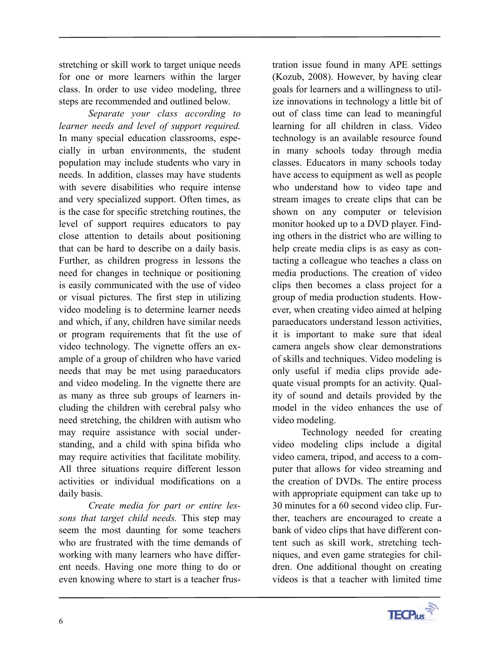stretching or skill work to target unique needs for one or more learners within the larger class. In order to use video modeling, three steps are recommended and outlined below.

*Separate your class according to learner needs and level of support required.* In many special education classrooms, especially in urban environments, the student population may include students who vary in needs. In addition, classes may have students with severe disabilities who require intense and very specialized support. Often times, as is the case for specific stretching routines, the level of support requires educators to pay close attention to details about positioning that can be hard to describe on a daily basis. Further, as children progress in lessons the need for changes in technique or positioning is easily communicated with the use of video or visual pictures. The first step in utilizing video modeling is to determine learner needs and which, if any, children have similar needs or program requirements that fit the use of video technology. The vignette offers an example of a group of children who have varied needs that may be met using paraeducators and video modeling. In the vignette there are as many as three sub groups of learners including the children with cerebral palsy who need stretching, the children with autism who may require assistance with social understanding, and a child with spina bifida who may require activities that facilitate mobility. All three situations require different lesson activities or individual modifications on a daily basis.

*Create media for part or entire lessons that target child needs.* This step may seem the most daunting for some teachers who are frustrated with the time demands of working with many learners who have different needs. Having one more thing to do or even knowing where to start is a teacher frus-

tration issue found in many APE settings (Kozub, 2008). However, by having clear goals for learners and a willingness to utilize innovations in technology a little bit of out of class time can lead to meaningful learning for all children in class. Video technology is an available resource found in many schools today through media classes. Educators in many schools today have access to equipment as well as people who understand how to video tape and stream images to create clips that can be shown on any computer or television monitor hooked up to a DVD player. Finding others in the district who are willing to help create media clips is as easy as contacting a colleague who teaches a class on media productions. The creation of video clips then becomes a class project for a group of media production students. However, when creating video aimed at helping paraeducators understand lesson activities, it is important to make sure that ideal camera angels show clear demonstrations of skills and techniques. Video modeling is only useful if media clips provide adequate visual prompts for an activity. Quality of sound and details provided by the model in the video enhances the use of video modeling.

 Technology needed for creating video modeling clips include a digital video camera, tripod, and access to a computer that allows for video streaming and the creation of DVDs. The entire process with appropriate equipment can take up to 30 minutes for a 60 second video clip. Further, teachers are encouraged to create a bank of video clips that have different content such as skill work, stretching techniques, and even game strategies for children. One additional thought on creating videos is that a teacher with limited time

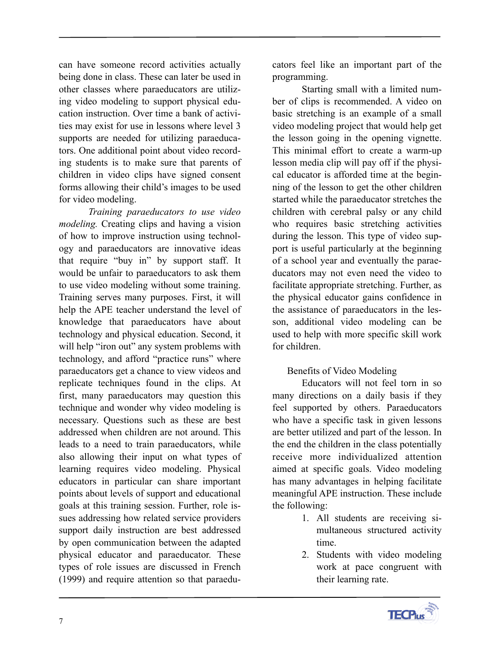can have someone record activities actually being done in class. These can later be used in other classes where paraeducators are utilizing video modeling to support physical education instruction. Over time a bank of activities may exist for use in lessons where level 3 supports are needed for utilizing paraeducators. One additional point about video recording students is to make sure that parents of children in video clips have signed consent forms allowing their child's images to be used for video modeling.

*Training paraeducators to use video modeling.* Creating clips and having a vision of how to improve instruction using technology and paraeducators are innovative ideas that require "buy in" by support staff. It would be unfair to paraeducators to ask them to use video modeling without some training. Training serves many purposes. First, it will help the APE teacher understand the level of knowledge that paraeducators have about technology and physical education. Second, it will help "iron out" any system problems with technology, and afford "practice runs" where paraeducators get a chance to view videos and replicate techniques found in the clips. At first, many paraeducators may question this technique and wonder why video modeling is necessary. Questions such as these are best addressed when children are not around. This leads to a need to train paraeducators, while also allowing their input on what types of learning requires video modeling. Physical educators in particular can share important points about levels of support and educational goals at this training session. Further, role issues addressing how related service providers support daily instruction are best addressed by open communication between the adapted physical educator and paraeducator. These types of role issues are discussed in French (1999) and require attention so that paraeducators feel like an important part of the programming.

Starting small with a limited number of clips is recommended. A video on basic stretching is an example of a small video modeling project that would help get the lesson going in the opening vignette. This minimal effort to create a warm-up lesson media clip will pay off if the physical educator is afforded time at the beginning of the lesson to get the other children started while the paraeducator stretches the children with cerebral palsy or any child who requires basic stretching activities during the lesson. This type of video support is useful particularly at the beginning of a school year and eventually the paraeducators may not even need the video to facilitate appropriate stretching. Further, as the physical educator gains confidence in the assistance of paraeducators in the lesson, additional video modeling can be used to help with more specific skill work for children.

#### Benefits of Video Modeling

Educators will not feel torn in so many directions on a daily basis if they feel supported by others. Paraeducators who have a specific task in given lessons are better utilized and part of the lesson. In the end the children in the class potentially receive more individualized attention aimed at specific goals. Video modeling has many advantages in helping facilitate meaningful APE instruction. These include the following:

- 1. All students are receiving simultaneous structured activity time.
- 2. Students with video modeling work at pace congruent with their learning rate.

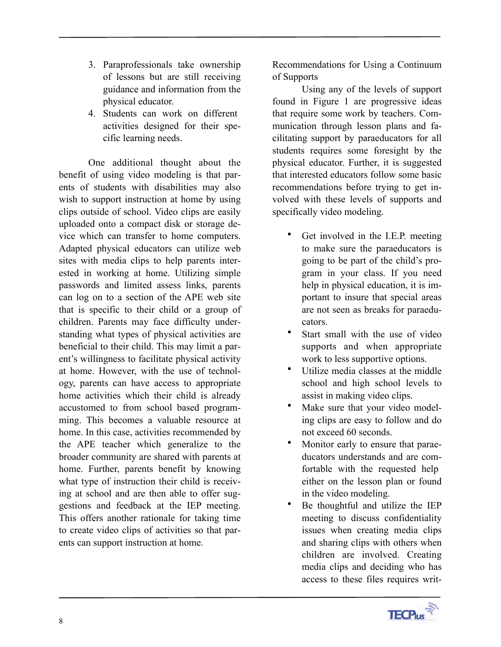- 3. Paraprofessionals take ownership of lessons but are still receiving guidance and information from the physical educator.
- 4. Students can work on different activities designed for their specific learning needs.

One additional thought about the benefit of using video modeling is that parents of students with disabilities may also wish to support instruction at home by using clips outside of school. Video clips are easily uploaded onto a compact disk or storage device which can transfer to home computers. Adapted physical educators can utilize web sites with media clips to help parents interested in working at home. Utilizing simple passwords and limited assess links, parents can log on to a section of the APE web site that is specific to their child or a group of children. Parents may face difficulty understanding what types of physical activities are beneficial to their child. This may limit a parent's willingness to facilitate physical activity at home. However, with the use of technology, parents can have access to appropriate home activities which their child is already accustomed to from school based programming. This becomes a valuable resource at home. In this case, activities recommended by the APE teacher which generalize to the broader community are shared with parents at home. Further, parents benefit by knowing what type of instruction their child is receiving at school and are then able to offer suggestions and feedback at the IEP meeting. This offers another rationale for taking time to create video clips of activities so that parents can support instruction at home.

Recommendations for Using a Continuum of Supports

 Using any of the levels of support found in Figure 1 are progressive ideas that require some work by teachers. Communication through lesson plans and facilitating support by paraeducators for all students requires some foresight by the physical educator. Further, it is suggested that interested educators follow some basic recommendations before trying to get involved with these levels of supports and specifically video modeling.

- Get involved in the I.E.P. meeting to make sure the paraeducators is going to be part of the child's program in your class. If you need help in physical education, it is important to insure that special areas are not seen as breaks for paraeducators.
- Start small with the use of video supports and when appropriate work to less supportive options.
- Utilize media classes at the middle school and high school levels to assist in making video clips.
- Make sure that your video modeling clips are easy to follow and do not exceed 60 seconds.
- Monitor early to ensure that paraeducators understands and are comfortable with the requested help either on the lesson plan or found in the video modeling.
- Be thoughtful and utilize the IEP meeting to discuss confidentiality issues when creating media clips and sharing clips with others when children are involved. Creating media clips and deciding who has access to these files requires writ-

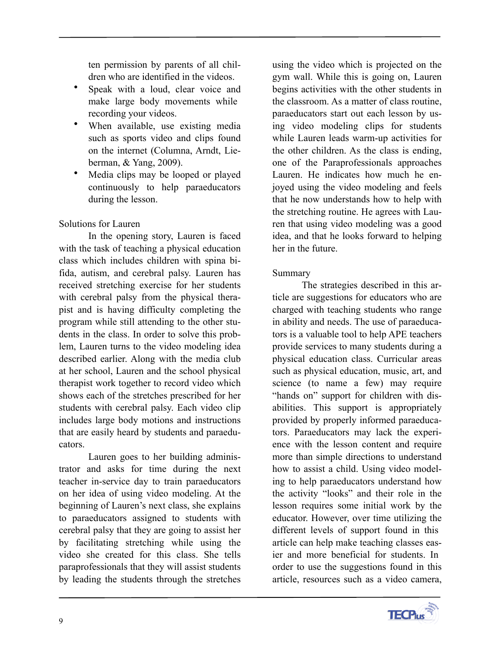ten permission by parents of all children who are identified in the videos.

- Speak with a loud, clear voice and make large body movements while recording your videos.
- When available, use existing media such as sports video and clips found on the internet (Columna, Arndt, Lieberman, & Yang, 2009).
- Media clips may be looped or played continuously to help paraeducators during the lesson.

### Solutions for Lauren

In the opening story, Lauren is faced with the task of teaching a physical education class which includes children with spina bifida, autism, and cerebral palsy. Lauren has received stretching exercise for her students with cerebral palsy from the physical therapist and is having difficulty completing the program while still attending to the other students in the class. In order to solve this problem, Lauren turns to the video modeling idea described earlier. Along with the media club at her school, Lauren and the school physical therapist work together to record video which shows each of the stretches prescribed for her students with cerebral palsy. Each video clip includes large body motions and instructions that are easily heard by students and paraeducators.

Lauren goes to her building administrator and asks for time during the next teacher in-service day to train paraeducators on her idea of using video modeling. At the beginning of Lauren's next class, she explains to paraeducators assigned to students with cerebral palsy that they are going to assist her by facilitating stretching while using the video she created for this class. She tells paraprofessionals that they will assist students by leading the students through the stretches

using the video which is projected on the gym wall. While this is going on, Lauren begins activities with the other students in the classroom. As a matter of class routine, paraeducators start out each lesson by using video modeling clips for students while Lauren leads warm-up activities for the other children. As the class is ending, one of the Paraprofessionals approaches Lauren. He indicates how much he enjoyed using the video modeling and feels that he now understands how to help with the stretching routine. He agrees with Lauren that using video modeling was a good idea, and that he looks forward to helping her in the future.

### Summary

The strategies described in this article are suggestions for educators who are charged with teaching students who range in ability and needs. The use of paraeducators is a valuable tool to help APE teachers provide services to many students during a physical education class. Curricular areas such as physical education, music, art, and science (to name a few) may require "hands on" support for children with disabilities. This support is appropriately provided by properly informed paraeducators. Paraeducators may lack the experience with the lesson content and require more than simple directions to understand how to assist a child. Using video modeling to help paraeducators understand how the activity "looks" and their role in the lesson requires some initial work by the educator. However, over time utilizing the different levels of support found in this article can help make teaching classes easier and more beneficial for students. In order to use the suggestions found in this article, resources such as a video camera,

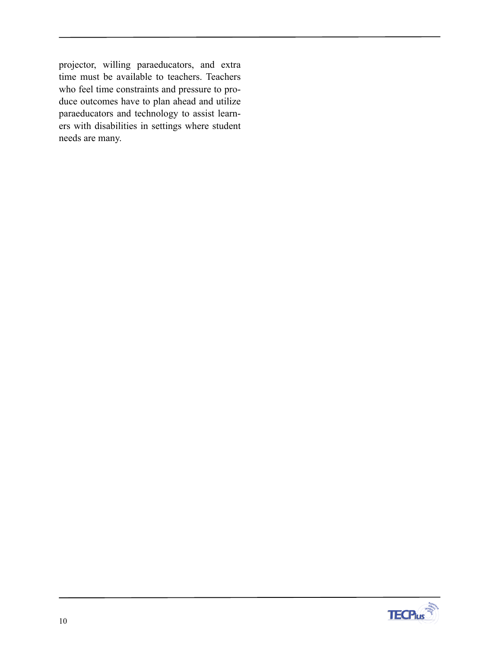projector, willing paraeducators, and extra time must be available to teachers. Teachers who feel time constraints and pressure to produce outcomes have to plan ahead and utilize paraeducators and technology to assist learners with disabilities in settings where student needs are many.